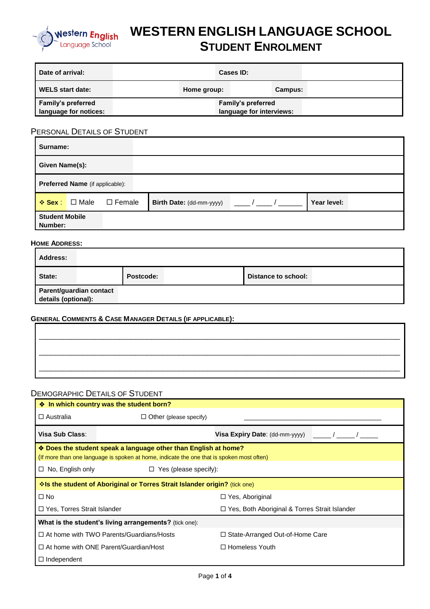

# **WESTERN ENGLISH LANGUAGE SCHOOL STUDENT ENROLMENT**

| Date of arrival:          | Cases ID:          |                          |  |  |  |  |
|---------------------------|--------------------|--------------------------|--|--|--|--|
| <b>WELS start date:</b>   | Home group:        | Campus:                  |  |  |  |  |
| <b>Family's preferred</b> | Family's preferred |                          |  |  |  |  |
| language for notices:     |                    | language for interviews: |  |  |  |  |

## PERSONAL DETAILS OF STUDENT

| Surname:                         |                                 |               |                          |  |             |  |  |
|----------------------------------|---------------------------------|---------------|--------------------------|--|-------------|--|--|
| Given Name(s):                   |                                 |               |                          |  |             |  |  |
|                                  | Preferred Name (if applicable): |               |                          |  |             |  |  |
| $\div$ Sex :                     | □ Male                          | $\Box$ Female | Birth Date: (dd-mm-yyyy) |  | Year level: |  |  |
| <b>Student Mobile</b><br>Number: |                                 |               |                          |  |             |  |  |

#### **HOME ADDRESS:**

| <b>Address:</b>                                |           |                     |  |
|------------------------------------------------|-----------|---------------------|--|
| State:                                         | Postcode: | Distance to school: |  |
| Parent/guardian contact<br>details (optional): |           |                     |  |

#### **GENERAL COMMENTS & CASE MANAGER DETAILS (IF APPLICABLE):**

#### DEMOGRAPHIC DETAILS OF STUDENT

| ♦ In which country was the student born?                                                  |                                                                                 |                                                      |  |  |  |  |  |  |  |  |
|-------------------------------------------------------------------------------------------|---------------------------------------------------------------------------------|------------------------------------------------------|--|--|--|--|--|--|--|--|
| $\Box$ Australia                                                                          | $\Box$ Other (please specify)                                                   |                                                      |  |  |  |  |  |  |  |  |
| Visa Sub Class:                                                                           |                                                                                 | Visa Expiry Date: (dd-mm-yyyy)                       |  |  |  |  |  |  |  |  |
| ♦ Does the student speak a language other than English at home?                           |                                                                                 |                                                      |  |  |  |  |  |  |  |  |
| (If more than one language is spoken at home, indicate the one that is spoken most often) |                                                                                 |                                                      |  |  |  |  |  |  |  |  |
| No, English only<br>$\Box$                                                                | $\Box$ Yes (please specify):                                                    |                                                      |  |  |  |  |  |  |  |  |
|                                                                                           | <b>Volip student of Aboriginal or Torres Strait Islander origin?</b> (tick one) |                                                      |  |  |  |  |  |  |  |  |
| $\Box$ No                                                                                 |                                                                                 | $\Box$ Yes, Aboriginal                               |  |  |  |  |  |  |  |  |
| □ Yes, Torres Strait Islander                                                             |                                                                                 | $\Box$ Yes, Both Aboriginal & Torres Strait Islander |  |  |  |  |  |  |  |  |
|                                                                                           | What is the student's living arrangements? (tick one):                          |                                                      |  |  |  |  |  |  |  |  |
|                                                                                           | $\Box$ At home with TWO Parents/Guardians/Hosts                                 | $\Box$ State-Arranged Out-of-Home Care               |  |  |  |  |  |  |  |  |
|                                                                                           | $\Box$ At home with ONE Parent/Guardian/Host                                    | $\Box$ Homeless Youth                                |  |  |  |  |  |  |  |  |
| $\Box$ Independent                                                                        |                                                                                 |                                                      |  |  |  |  |  |  |  |  |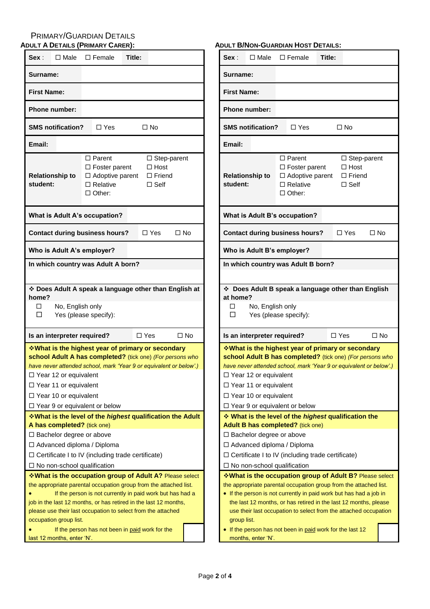# PRIMARY/GUARDIAN DETAILS

| <b>ADULT A DETAILS (PRIMARY CARER):</b>                                                                                                                                                                                                                                                                                            |                                                                                                                   |        |                               |                    | <b>ADUL</b> |  |
|------------------------------------------------------------------------------------------------------------------------------------------------------------------------------------------------------------------------------------------------------------------------------------------------------------------------------------|-------------------------------------------------------------------------------------------------------------------|--------|-------------------------------|--------------------|-------------|--|
| Sex:<br>$\square$ Male                                                                                                                                                                                                                                                                                                             | $\square$ Female                                                                                                  | Title: |                               |                    |             |  |
| Surname:                                                                                                                                                                                                                                                                                                                           |                                                                                                                   |        |                               |                    |             |  |
| <b>First Name:</b>                                                                                                                                                                                                                                                                                                                 |                                                                                                                   |        |                               |                    |             |  |
| <b>Phone number:</b>                                                                                                                                                                                                                                                                                                               |                                                                                                                   |        |                               |                    |             |  |
| <b>SMS notification?</b>                                                                                                                                                                                                                                                                                                           | $\Box$ Yes                                                                                                        |        | $\Box$ No                     |                    |             |  |
| Email:                                                                                                                                                                                                                                                                                                                             |                                                                                                                   |        |                               |                    |             |  |
| <b>Relationship to</b><br>student:                                                                                                                                                                                                                                                                                                 | $\Box$ Parent<br>$\Box$ Foster parent<br>$\Box$ Adoptive parent $\Box$ Friend<br>$\Box$ Relative<br>$\Box$ Other: |        | $\Box$ Host<br>$\square$ Self | $\Box$ Step-parent |             |  |
| What is Adult A's occupation?                                                                                                                                                                                                                                                                                                      |                                                                                                                   |        |                               |                    |             |  |
| <b>Contact during business hours?</b>                                                                                                                                                                                                                                                                                              |                                                                                                                   |        | $\Box$ Yes                    | $\square$ No       |             |  |
| Who is Adult A's employer?                                                                                                                                                                                                                                                                                                         |                                                                                                                   |        |                               |                    |             |  |
| In which country was Adult A born?                                                                                                                                                                                                                                                                                                 |                                                                                                                   |        |                               |                    |             |  |
| No, English only<br>П.<br>П                                                                                                                                                                                                                                                                                                        | Yes (please specify):                                                                                             |        |                               |                    |             |  |
| Is an interpreter required?                                                                                                                                                                                                                                                                                                        |                                                                                                                   |        | $\Box$ Yes                    | $\square$ No       |             |  |
| <b>Vhat is the highest year of primary or secondary</b><br>school Adult A has completed? (tick one) (For persons who<br>have never attended school, mark 'Year 9 or equivalent or below'.)<br>$\Box$ Year 12 or equivalent<br>$\Box$ Year 11 or equivalent<br>$\Box$ Year 10 or equivalent<br>$\Box$ Year 9 or equivalent or below |                                                                                                                   |        |                               |                    |             |  |
| <b>Vhat is the level of the highest qualification the Adult</b><br>A has completed? (tick one)<br>$\Box$ Bachelor degree or above<br>□ Advanced diploma / Diploma<br>$\Box$ Certificate I to IV (including trade certificate)<br>$\Box$ No non-school qualification<br>*What is the occupation group of Adult A? Please select     |                                                                                                                   |        |                               |                    |             |  |
| the appropriate parental occupation group from the attached list.<br>job in the last 12 months, or has retired in the last 12 months,<br>please use their last occupation to select from the attached<br>occupation group list.                                                                                                    | If the person is not currently in paid work but has had a                                                         |        |                               |                    |             |  |

#### **ADULT B/NON-GUARDIAN HOST DETAILS:**

| Sex :                                                                                                                                                                                                                                                                                    | $\Box$ Male                                                                                                                                                                                                                                                                                                                      |  | $\square$ Female                                                                                                                                                                                                                                                                                                                             | Title: |                                                                      |      |  |  |  |
|------------------------------------------------------------------------------------------------------------------------------------------------------------------------------------------------------------------------------------------------------------------------------------------|----------------------------------------------------------------------------------------------------------------------------------------------------------------------------------------------------------------------------------------------------------------------------------------------------------------------------------|--|----------------------------------------------------------------------------------------------------------------------------------------------------------------------------------------------------------------------------------------------------------------------------------------------------------------------------------------------|--------|----------------------------------------------------------------------|------|--|--|--|
| Surname:                                                                                                                                                                                                                                                                                 |                                                                                                                                                                                                                                                                                                                                  |  |                                                                                                                                                                                                                                                                                                                                              |        |                                                                      |      |  |  |  |
| <b>First Name:</b>                                                                                                                                                                                                                                                                       |                                                                                                                                                                                                                                                                                                                                  |  |                                                                                                                                                                                                                                                                                                                                              |        |                                                                      |      |  |  |  |
| Phone number:                                                                                                                                                                                                                                                                            |                                                                                                                                                                                                                                                                                                                                  |  |                                                                                                                                                                                                                                                                                                                                              |        |                                                                      |      |  |  |  |
|                                                                                                                                                                                                                                                                                          | <b>SMS notification?</b>                                                                                                                                                                                                                                                                                                         |  | $\Box$ Yes                                                                                                                                                                                                                                                                                                                                   |        | □ No                                                                 |      |  |  |  |
| Email:                                                                                                                                                                                                                                                                                   |                                                                                                                                                                                                                                                                                                                                  |  |                                                                                                                                                                                                                                                                                                                                              |        |                                                                      |      |  |  |  |
| <b>Relationship to</b><br>student:                                                                                                                                                                                                                                                       |                                                                                                                                                                                                                                                                                                                                  |  | $\Box$ Parent<br>$\square$ Foster parent<br>□ Adoptive parent<br>$\Box$ Relative<br>□ Other:                                                                                                                                                                                                                                                 |        | $\Box$ Step-parent<br>$\Box$ Host<br>$\Box$ Friend<br>$\square$ Self |      |  |  |  |
|                                                                                                                                                                                                                                                                                          |                                                                                                                                                                                                                                                                                                                                  |  | What is Adult B's occupation?                                                                                                                                                                                                                                                                                                                |        |                                                                      |      |  |  |  |
|                                                                                                                                                                                                                                                                                          |                                                                                                                                                                                                                                                                                                                                  |  | <b>Contact during business hours?</b>                                                                                                                                                                                                                                                                                                        |        | $\Box$ Yes                                                           | □ No |  |  |  |
|                                                                                                                                                                                                                                                                                          | Who is Adult B's employer?                                                                                                                                                                                                                                                                                                       |  |                                                                                                                                                                                                                                                                                                                                              |        |                                                                      |      |  |  |  |
|                                                                                                                                                                                                                                                                                          |                                                                                                                                                                                                                                                                                                                                  |  | In which country was Adult B born?                                                                                                                                                                                                                                                                                                           |        |                                                                      |      |  |  |  |
| at home?<br>п<br>□                                                                                                                                                                                                                                                                       | No, English only<br>Yes (please specify):                                                                                                                                                                                                                                                                                        |  | * Does Adult B speak a language other than English                                                                                                                                                                                                                                                                                           |        |                                                                      |      |  |  |  |
|                                                                                                                                                                                                                                                                                          |                                                                                                                                                                                                                                                                                                                                  |  |                                                                                                                                                                                                                                                                                                                                              |        | $\Box$ Yes                                                           |      |  |  |  |
| $\Box$ Year 9 or equivalent or below                                                                                                                                                                                                                                                     | □ No<br>Is an interpreter required?<br><b>V</b> What is the highest year of primary or secondary ↓<br>school Adult B has completed? (tick one) (For persons who<br>have never attended school, mark 'Year 9 or equivalent or below'.)<br>□ Year 12 or equivalent<br>$\Box$ Year 11 or equivalent<br>$\Box$ Year 10 or equivalent |  |                                                                                                                                                                                                                                                                                                                                              |        |                                                                      |      |  |  |  |
|                                                                                                                                                                                                                                                                                          |                                                                                                                                                                                                                                                                                                                                  |  | <b>Vhat is the level of the highest qualification the</b>                                                                                                                                                                                                                                                                                    |        |                                                                      |      |  |  |  |
| <b>Adult B has completed?</b> (tick one)<br>$\Box$ Bachelor degree or above<br>$\Box$ Advanced diploma / Diploma<br>$\Box$ Certificate I to IV (including trade certificate)<br>$\Box$ No non-school qualification<br><b>Veropheta</b> is the occupation group of Adult B? Please select |                                                                                                                                                                                                                                                                                                                                  |  |                                                                                                                                                                                                                                                                                                                                              |        |                                                                      |      |  |  |  |
| group list.                                                                                                                                                                                                                                                                              |                                                                                                                                                                                                                                                                                                                                  |  | the appropriate parental occupation group from the attached list.<br>• If the person is not currently in paid work but has had a job in<br>the last 12 months, or has retired in the last 12 months, please<br>use their last occupation to select from the attached occupation<br>• If the person has not been in paid work for the last 12 |        |                                                                      |      |  |  |  |
|                                                                                                                                                                                                                                                                                          | months, enter 'N'.                                                                                                                                                                                                                                                                                                               |  |                                                                                                                                                                                                                                                                                                                                              |        |                                                                      |      |  |  |  |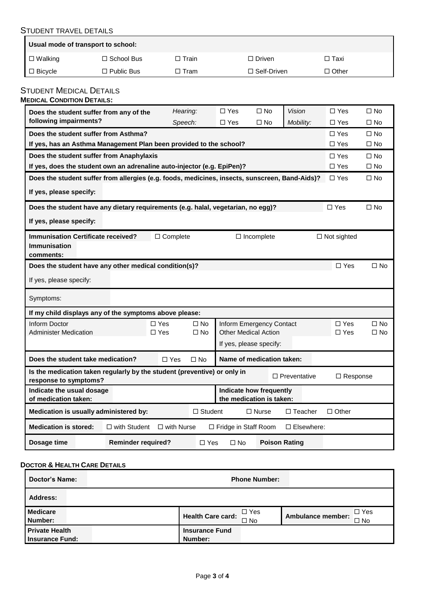#### STUDENT TRAVEL DETAILS

| Usual mode of transport to school: |                      |          |                    |              |
|------------------------------------|----------------------|----------|--------------------|--------------|
| $\Box$ Walking                     | $\Box$ School Bus    | □ Train_ | $\Box$ Driven      | □ Taxi       |
| I □ Bicycle                        | $\square$ Public Bus | □ Tram   | $\Box$ Self-Driven | $\Box$ Other |

#### STUDENT MEDICAL DETAILS **MEDICAL CONDITION DETAILS:**

| IEDICAL CONDITION DETAILS                                                                                                                   |                                                                        |                   |                |                                                     |                      |                     |                 |              |  |  |  |
|---------------------------------------------------------------------------------------------------------------------------------------------|------------------------------------------------------------------------|-------------------|----------------|-----------------------------------------------------|----------------------|---------------------|-----------------|--------------|--|--|--|
| Does the student suffer from any of the                                                                                                     |                                                                        | Hearing:          |                | $\Box$ Yes                                          | $\square$ No         | <b>Vision</b>       | $\Box$ Yes      | $\Box$ No    |  |  |  |
| following impairments?                                                                                                                      |                                                                        | Speech:           |                | $\square$ Yes                                       | $\square$ No         | Mobility:           | $\square$ Yes   | $\square$ No |  |  |  |
| Does the student suffer from Asthma?                                                                                                        |                                                                        |                   |                |                                                     |                      |                     | $\Box$ Yes      | $\square$ No |  |  |  |
| If yes, has an Asthma Management Plan been provided to the school?                                                                          |                                                                        |                   |                |                                                     |                      |                     | $\Box$ Yes      | $\square$ No |  |  |  |
|                                                                                                                                             | Does the student suffer from Anaphylaxis<br>$\Box$ Yes<br>$\square$ No |                   |                |                                                     |                      |                     |                 |              |  |  |  |
| If yes, does the student own an adrenaline auto-injector (e.g. EpiPen)?<br>$\Box$ Yes<br>$\square$ No                                       |                                                                        |                   |                |                                                     |                      |                     |                 |              |  |  |  |
| Does the student suffer from allergies (e.g. foods, medicines, insects, sunscreen, Band-Aids)?                                              |                                                                        |                   |                |                                                     |                      |                     | $\square$ Yes   | $\square$ No |  |  |  |
| If yes, please specify:                                                                                                                     |                                                                        |                   |                |                                                     |                      |                     |                 |              |  |  |  |
| Does the student have any dietary requirements (e.g. halal, vegetarian, no egg)?                                                            |                                                                        |                   |                |                                                     |                      |                     | $\square$ Yes   | $\Box$ No    |  |  |  |
| If yes, please specify:                                                                                                                     |                                                                        |                   |                |                                                     |                      |                     |                 |              |  |  |  |
| <b>Immunisation Certificate received?</b><br>$\Box$ Complete<br>$\Box$ Not sighted<br>$\Box$ Incomplete<br><b>Immunisation</b><br>comments: |                                                                        |                   |                |                                                     |                      |                     |                 |              |  |  |  |
| Does the student have any other medical condition(s)?                                                                                       |                                                                        |                   |                |                                                     |                      |                     | $\Box$ Yes      | $\Box$ No    |  |  |  |
| If yes, please specify:                                                                                                                     |                                                                        |                   |                |                                                     |                      |                     |                 |              |  |  |  |
| Symptoms:                                                                                                                                   |                                                                        |                   |                |                                                     |                      |                     |                 |              |  |  |  |
| If my child displays any of the symptoms above please:                                                                                      |                                                                        |                   |                |                                                     |                      |                     |                 |              |  |  |  |
| Inform Doctor                                                                                                                               |                                                                        | $\Box$ Yes        | $\square$ No   | Inform Emergency Contact                            |                      |                     | $\Box$ Yes      | $\square$ No |  |  |  |
| <b>Administer Medication</b>                                                                                                                |                                                                        | $\square$ Yes     | $\square$ No   | <b>Other Medical Action</b>                         |                      |                     | $\square$ Yes   | $\square$ No |  |  |  |
|                                                                                                                                             |                                                                        |                   |                | If yes, please specify:                             |                      |                     |                 |              |  |  |  |
| Does the student take medication?                                                                                                           |                                                                        | $\square$ Yes     | $\square$ No   | Name of medication taken:                           |                      |                     |                 |              |  |  |  |
| Is the medication taken regularly by the student (preventive) or only in<br>response to symptoms?                                           |                                                                        |                   |                |                                                     |                      | $\Box$ Preventative | $\Box$ Response |              |  |  |  |
| Indicate the usual dosage<br>of medication taken:                                                                                           |                                                                        |                   |                | Indicate how frequently<br>the medication is taken: |                      |                     |                 |              |  |  |  |
| Medication is usually administered by:                                                                                                      |                                                                        |                   | $\Box$ Student |                                                     | $\Box$ Nurse         | $\Box$ Teacher      | $\Box$ Other    |              |  |  |  |
| <b>Medication is stored:</b>                                                                                                                | $\Box$ with Student                                                    | $\Box$ with Nurse |                | □ Fridge in Staff Room                              |                      | $\Box$ Elsewhere:   |                 |              |  |  |  |
| Dosage time                                                                                                                                 | <b>Reminder required?</b>                                              |                   | □ Yes          | $\Box$ No                                           | <b>Poison Rating</b> |                     |                 |              |  |  |  |

#### **DOCTOR & HEALTH CARE DETAILS**

| Doctor's Name:                                  | <b>Phone Number:</b>                               |                                              |
|-------------------------------------------------|----------------------------------------------------|----------------------------------------------|
| <b>Address:</b>                                 |                                                    |                                              |
| <b>Medicare</b><br>Number:                      | ¶⊟ Yes<br><b>Health Care card:</b><br>$\square$ No | $\Box$ Yes<br>Ambulance member:<br>$\Box$ No |
| <b>Private Health</b><br><b>Insurance Fund:</b> | <b>Insurance Fund</b><br>Number:                   |                                              |